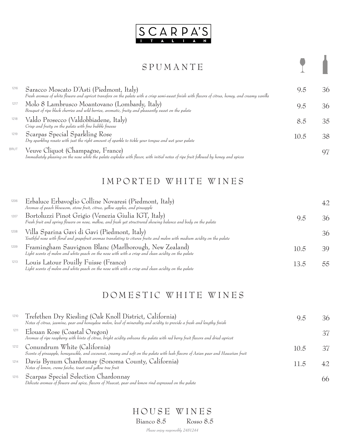

### S P U M A N T E

Saracco Moscato D'Asti (Piedmont, Italy) 6.5 36 *Fresh aromas of white flowers and apricot transfers on the palate with a crisp semi-sweet finish with flavors of citrus, honey, and creamy vanilla* Molo 8 Lambrusco Moantovano (Lombardy, Italy)<br> *Bouquet of ripe black cherries and wild berries, aromatic, fruity and pleasantly sweet on the palate*<br> **Develoption of the parameters** of the palate Valdo Prosecco (Valdobbiadene, Italy) 8.5 35 *Crisp and fruity on the palate with fine bubble finesse* Veuve Cliquot (Champagne, France) *Immediately pleasing on the nose while the palate explodes with flavor, with initial notes of ripe fruit followed by honey and spices* <sup>97</sup> Scarpas Special Sparkling Rose *Dry sparkling rosato with just the right amount of sparkle to tickle your tongue and wet your palate* 10.5 38 1216 1217 1218 1219 BRUT

## IMPORTED WHITE WINES

| 1206 | Erbaluce Erbavoglio Colline Novaresi (Piedmont, Italy)<br>Aromas of peach blowwom, stone fruit, citrus, yellow apples, and pineapple                                      |      |    |
|------|---------------------------------------------------------------------------------------------------------------------------------------------------------------------------|------|----|
| 1207 | Bortoluzzi Pinot Grigio (Venezia Giulia IGT, Italy)<br>Fresh fruit and spring flowers on nose, mellow, and fresh yet structrured showing balance and body on the palate   | 9.5  | 36 |
| 1208 | Villa Sparina Gavi di Gavi (Piedmont, Italy)<br>Youthful nose with floral and grapefruit aromas translating to citures fruits and melon with medium acidity on the palate |      | 36 |
| 1209 | Framingham Sauvignon Blanc (Marlborough, New Zealand)<br>Light scents of melon and white peach on the nose with with a crisp and clean acidity on the palate              | 10.5 | 30 |
| 1213 | Louis Latour Pouilly Fuisse (France)<br>Light scents of melon and white peach on the nose with with a crisp and clean acidity on the palate                               | 135  | 55 |

# DOMESTIC WHITE WINES

| 1210 | Trefethen Dry Riesling (Oak Knoll District, California)<br>Notes of citrus, jasmine, pear and honeydew melon, level of minerality and acidity to provide a fresh and lengthy finish |                               |  |
|------|-------------------------------------------------------------------------------------------------------------------------------------------------------------------------------------|-------------------------------|--|
| 1211 | Elouan Rose (Coastal Oregon)<br>Aromas of ripe raspberry with hints of citrus, bright acidity enlivens the palate with red berry fruit flavors and dried apricot                    |                               |  |
| 1212 | Conundrum White (California)<br>Scents of pineapple, honeysuckle, and cocounut, creamy and soft on the palate with lush flavors of Asian pear and Hawaiian fruit                    | 10.5                          |  |
| 1214 | Davis Bynum Chardonnay (Sonoma County, California)<br>Notes of lemon, creme faiche, toast and yellow tree fruit                                                                     | $\overline{1}$ $\overline{2}$ |  |
| 1215 | Scarpas Special Selection Chardonnay<br>Delicate aromas of flowers and spice, flavors of Muscat, pear and lemon rind expressed on the palate                                        |                               |  |

*Please enjoy responsibly 2481244* H O U S E W I N E S Bianco 8.5 Rosso 8.5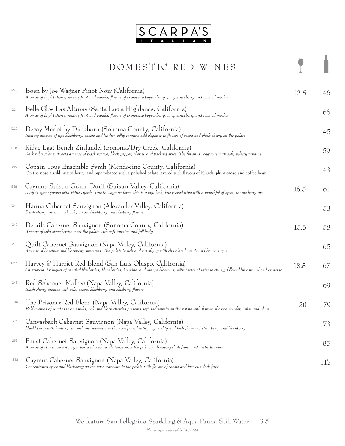

# DOMESTIC RED WINES

1

| 1223 | Boen by Joe Wagner Pinot Noir (California)<br>Aromas of bright cherry, jammy fruit and vanilla, flavors of expressive boysenberry, juicy strawberry and toasted mocha                                                | 12.5 | 46  |
|------|----------------------------------------------------------------------------------------------------------------------------------------------------------------------------------------------------------------------|------|-----|
| 1224 | Belle Glos Las Alturas (Santa Lucia Highlands, California)<br>Aromas of bright cherry, jammy fruit and vanilla, flavors of expressive boysenberry, juicy strawberry and toasted mocha                                |      | 66  |
| 1225 | Decoy Merlot by Duckhorn (Sonoma County, California)<br>Inviting aromas of ripe blackberry, cassis and leather, silky tannins add elegance to flavors of cocoa and black cherry on the palate                        |      | 45  |
| 1226 | Ridge East Bench Zinfandel (Sonoma/Dry Creek, California)<br>Dark ruby color with bold aromas of black licorice, black pepper, cherry, and backing spice. The finish is voluptous with soft, velvety tannins         |      | 59  |
| 1227 | Copain Tous Ensemble Syrah (Mendocino County, California)<br>On the nose a wild mix of berry and pipe tobacco with a polished palate layered with flavors of Kirsch, plum cacao and coffee bean                      |      | 43  |
| 1228 | Caymus-Suisun Grand Durif (Suisun Valley, California)<br>Durif is synonymous with Petite Syrah. True to Caymus form, this is a big, lush, late-picked wine with a mouthful of spice, tannic berry pie.               | 16.5 | 61  |
| 1244 | Hanna Cabernet Sauvignon (Alexander Valley, California)<br>Black cherry aromas with cola, cocoa, blackberry and blueberry flavors                                                                                    |      | 53  |
| 1245 | Details Cabernet Sauvignon (Sonoma County, California)<br>Aromas of wild strawberries meet the palate with soft tannins and full-body                                                                                | 15.5 | 58  |
| 1246 | Quilt Cabernet Sauvignon (Napa Valley, California)<br>Aromas of hazelnut and blackberry preserves. The palate is rich and satisfying with chocolate brownie and brown sugar                                          |      | 65  |
| 1247 | Harvey & Harriet Red Blend (San Luis Obispo, California)<br>An exuberant bouquet of candied blueberries, blackberries, jasmine, and orange blossoms, with tastes of intense cherry, followed by caramel and espresso | 18.5 | 67  |
| 1249 | Red Schooner Malbec (Napa Valley, California)<br>Black cherry aromas with cola, cocoa, blackberry and blueberry flavors                                                                                              |      | 69  |
| 1250 | The Prisoner Red Blend (Napa Valley, California)<br>Bold aromas of Madagascar vanilla, oak and black cherries presents soft and velvety on the palate with flavors of cocoa powder, anise and plum                   | 20   | 79  |
| 1251 | Canvasback Cabernet Sauvignon (Napa Valley, California)<br>Huckleberry with hints of caramel and espresso on the nose paired with juicy acidity and lush flavors of strawberry and blackberry                        |      | 73  |
| 1252 | Faust Cabernet Sauvignon (Napa Valley, California)<br>Aromas of star anise with cigar box and cocoa undertones meet the palate with savory dark fruits and rustic tannins                                            |      | 85  |
| 1253 | Caymus Cabernet Sauvignon (Napa Valley, California)<br>Concentrated spice and blackberry on the nose translate to the palate with flavors of cassis and luscious dark fruit                                          |      | 117 |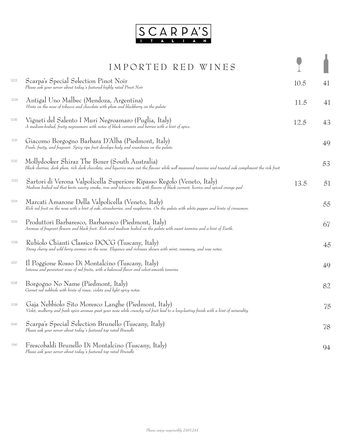

|      | IMPORTED RED WINES                                                                                                                                                                                          |      |    |
|------|-------------------------------------------------------------------------------------------------------------------------------------------------------------------------------------------------------------|------|----|
|      |                                                                                                                                                                                                             |      |    |
| 1222 | Scarpa's Special Selection Pinot Noir<br>Please ask your server about today's featured highly rated Pinot Noir                                                                                              | 10.5 | 41 |
| 1229 | Antigal Uno Malbec (Mendoza, Argentina)<br>Hints on the nose of tobacco and chocolate with plum and blackberry on the palate                                                                                | 11.5 | 41 |
| 1230 | Vigneti del Salento I Muri Negroamaro (Puglia, Italy)<br>A medium-bodied, fruity negroamaro with notes of black currants and berries with a hint of spice.                                                  | 12.5 | 43 |
| 1231 | Giacomo Borgogno Barbara D'Alba (Piedmont, Italy)<br>Fresh, fruity, and fragrant. Spicy ripe fruit develops body and roundness on the palate.                                                               |      | 49 |
| 1232 | Mollydooker Shiraz The Boxer (South Australia)<br>Black cherries, dark plum, rich dark chocolate, and liquorice max out the flavour while well measured tannins and toasted oak compliment the rick fruit   |      | 53 |
| 1233 | Sartori di Verona Valpolicella Superiore Ripasso Regolo (Veneto, Italy)<br>Medium bodied red that knits savory smoke, iron and tobacco notes with flavors of black currant, licorice and spiced orange peel | 13.5 | 51 |
| 1234 | Marcati Amarone Della Valpolicella (Veneto, Italy)<br>Rich red fruit on the nose with a hint of oak, strawberries, and raspberries. On the palate with white pepper and hints of cinnamon.                  |      | 55 |
| 1235 | Produttori Barbaresco, Barbaresco (Piedmont, Italy)<br>Aromas of fragrant flowers and black fruit. Rich and medium bodied on the palate with sweet tannins and a hint of Earth.                             |      | 67 |
| 1236 | Rubiolo Chianti Classico DOCG (Tuscany, Italy)<br>Stong cherry and wild berry aromas on the nose. Elegance and richness shown with mint, rosemary, and rose notes.                                          |      | 45 |
| 1237 | Il Poggione Rosso Di Montalcino (Tuscany, Italy)<br>Intense and persistent nose of red fruits, with a balanced flavor and velvet-smooth tannins                                                             |      | 49 |
| 1238 | Borgogno No Name (Piedmont, Italy)<br>Garnet red nebbiolo with hints of roses, violets and light spicy notes                                                                                                |      | 82 |
| 1239 | Gaja Nebbiolo Sito Moresco Langhe (Piedmont, Italy)<br>Violet, mulberry and fresh spice aromas greet your nose while crunchy red fruit lead to a long-lasting finish with a hint of minerality              |      | 75 |
| 1240 | Scarpa's Special Selection Brunello (Tuscany, Italy)<br>Please ask your server about today's featured top rated Brunello                                                                                    |      | 78 |
| 1241 | Frescobaldi Brunello Di Montalcino (Tuscany, Italy)<br>Please ask your server about today's featured top rated Brunello                                                                                     |      | 94 |